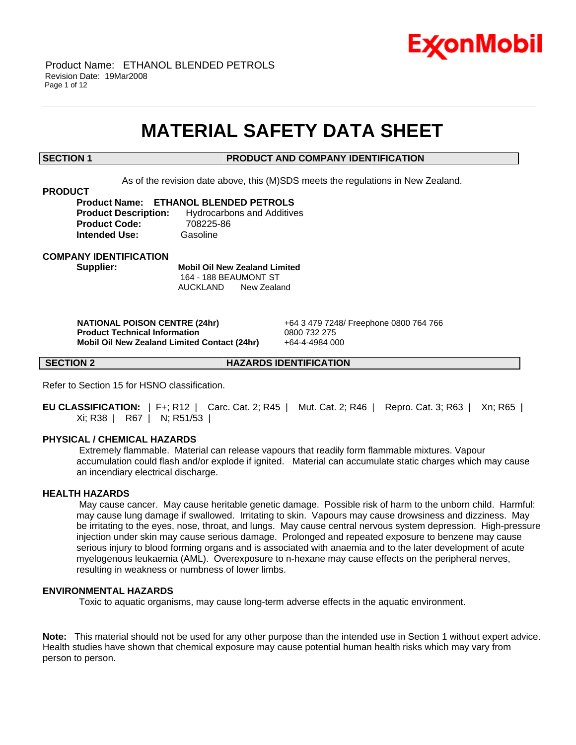

## **MATERIAL SAFETY DATA SHEET**

\_\_\_\_\_\_\_\_\_\_\_\_\_\_\_\_\_\_\_\_\_\_\_\_\_\_\_\_\_\_\_\_\_\_\_\_\_\_\_\_\_\_\_\_\_\_\_\_\_\_\_\_\_\_\_\_\_\_\_\_\_\_\_\_\_\_\_\_\_\_\_\_\_\_\_\_\_\_\_\_\_\_\_\_\_\_\_\_\_\_\_\_\_\_\_\_\_\_\_\_\_\_\_\_\_\_\_\_\_\_\_\_\_\_\_\_\_\_

#### **SECTION 1 PRODUCT AND COMPANY IDENTIFICATION**

As of the revision date above, this (M)SDS meets the regulations in New Zealand.

#### **PRODUCT**

**Product Name: ETHANOL BLENDED PETROLS Product Description:** Hydrocarbons and Additives **Product Code:** 708225-86 **Intended Use:** Gasoline

**COMPANY IDENTIFICATION**

**Supplier: Mobil Oil New Zealand Limited** 164 - 188 BEAUMONT ST AUCKLAND New Zealand

 **NATIONAL POISON CENTRE (24hr)** +64 3 479 7248/ Freephone 0800 764 766  **Product Technical Information** 0800 732 275 **Mobil Oil New Zealand Limited Contact (24hr)** +64-4-4984 000

**SECTION 2 HAZARDS IDENTIFICATION**

Refer to Section 15 for HSNO classification.

**EU CLASSIFICATION:** | F+; R12 | Carc. Cat. 2; R45 | Mut. Cat. 2; R46 | Repro. Cat. 3; R63 | Xn; R65 | Xi; R38 | R67 | N; R51/53 |

#### **PHYSICAL / CHEMICAL HAZARDS**

 Extremely flammable. Material can release vapours that readily form flammable mixtures. Vapour accumulation could flash and/or explode if ignited. Material can accumulate static charges which may cause an incendiary electrical discharge.

#### **HEALTH HAZARDS**

 May cause cancer. May cause heritable genetic damage. Possible risk of harm to the unborn child. Harmful: may cause lung damage if swallowed. Irritating to skin. Vapours may cause drowsiness and dizziness. May be irritating to the eyes, nose, throat, and lungs. May cause central nervous system depression. High-pressure injection under skin may cause serious damage. Prolonged and repeated exposure to benzene may cause serious injury to blood forming organs and is associated with anaemia and to the later development of acute myelogenous leukaemia (AML). Overexposure to n-hexane may cause effects on the peripheral nerves, resulting in weakness or numbness of lower limbs.

#### **ENVIRONMENTAL HAZARDS**

Toxic to aquatic organisms, may cause long-term adverse effects in the aquatic environment.

**Note:** This material should not be used for any other purpose than the intended use in Section 1 without expert advice. Health studies have shown that chemical exposure may cause potential human health risks which may vary from person to person.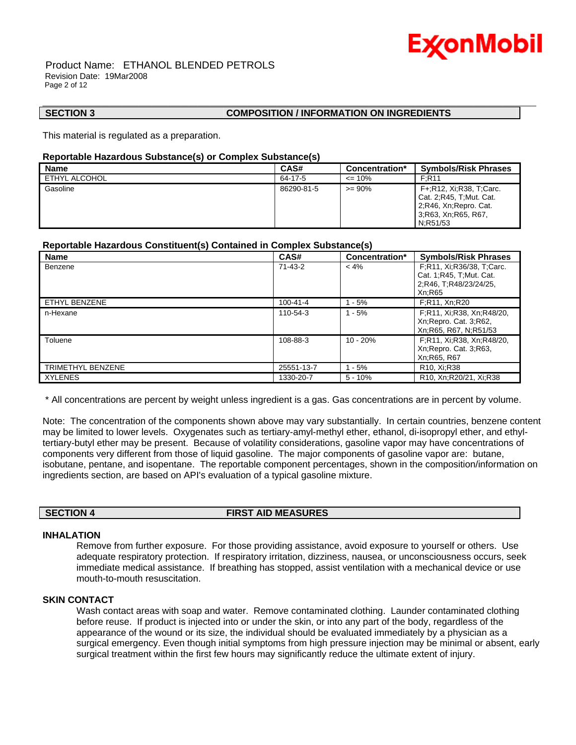

#### Product Name: ETHANOL BLENDED PETROLS Revision Date: 19Mar2008 Page 2 of 12

#### **SECTION 3 COMPOSITION / INFORMATION ON INGREDIENTS**

This material is regulated as a preparation.

#### **Reportable Hazardous Substance(s) or Complex Substance(s)**

| <b>Name</b>   | CAS#       | Concentration*   | <b>Symbols/Risk Phrases</b>                                                                                      |
|---------------|------------|------------------|------------------------------------------------------------------------------------------------------------------|
| ETHYL ALCOHOL | 64-17-5    | $\epsilon$ = 10% | F:R11                                                                                                            |
| Gasoline      | 86290-81-5 | $>= 90\%$        | F+:R12, Xi:R38, T:Carc.<br>Cat. 2:R45. T:Mut. Cat.<br>2, R46, Xn, Repro. Cat.<br>3;R63, Xn;R65, R67,<br>N:R51/53 |

\_\_\_\_\_\_\_\_\_\_\_\_\_\_\_\_\_\_\_\_\_\_\_\_\_\_\_\_\_\_\_\_\_\_\_\_\_\_\_\_\_\_\_\_\_\_\_\_\_\_\_\_\_\_\_\_\_\_\_\_\_\_\_\_\_\_\_\_\_\_\_\_\_\_\_\_\_\_\_\_\_\_\_\_\_\_\_\_\_\_\_\_\_\_\_\_\_\_\_\_\_\_\_\_\_\_\_\_\_\_\_\_\_\_\_\_\_\_

### **Reportable Hazardous Constituent(s) Contained in Complex Substance(s)**

| <b>Name</b>       | CAS#       | Concentration* | <b>Symbols/Risk Phrases</b>                                                                |
|-------------------|------------|----------------|--------------------------------------------------------------------------------------------|
| Benzene           | 71-43-2    | $< 4\%$        | F;R11, Xi;R36/38, T;Carc.<br>Cat. 1; R45, T; Mut. Cat.<br>2;R46, T;R48/23/24/25,<br>Xn:R65 |
| ETHYL BENZENE     | 100-41-4   | $1 - 5%$       | F;R11, Xn;R20                                                                              |
| n-Hexane          | 110-54-3   | $1 - 5%$       | F;R11, Xi;R38, Xn;R48/20,<br>Xn; Repro. Cat. 3; R62,<br>Xn; R65, R67, N; R51/53            |
| Toluene           | 108-88-3   | $10 - 20%$     | F;R11, Xi;R38, Xn;R48/20,<br>Xn; Repro. Cat. 3; R63,<br>Xn; R65, R67                       |
| TRIMETHYL BENZENE | 25551-13-7 | $1 - 5%$       | R <sub>10</sub> , Xi;R <sub>38</sub>                                                       |
| <b>XYLENES</b>    | 1330-20-7  | $5 - 10%$      | R <sub>10</sub> , Xn:R <sub>20</sub> /21, Xi:R <sub>38</sub>                               |

\* All concentrations are percent by weight unless ingredient is a gas. Gas concentrations are in percent by volume.

Note: The concentration of the components shown above may vary substantially. In certain countries, benzene content may be limited to lower levels. Oxygenates such as tertiary-amyl-methyl ether, ethanol, di-isopropyl ether, and ethyltertiary-butyl ether may be present. Because of volatility considerations, gasoline vapor may have concentrations of components very different from those of liquid gasoline. The major components of gasoline vapor are: butane, isobutane, pentane, and isopentane. The reportable component percentages, shown in the composition/information on ingredients section, are based on API's evaluation of a typical gasoline mixture.

**SECTION 4 FIRST AID MEASURES**

#### **INHALATION**

Remove from further exposure. For those providing assistance, avoid exposure to yourself or others. Use adequate respiratory protection. If respiratory irritation, dizziness, nausea, or unconsciousness occurs, seek immediate medical assistance. If breathing has stopped, assist ventilation with a mechanical device or use mouth-to-mouth resuscitation.

#### **SKIN CONTACT**

Wash contact areas with soap and water. Remove contaminated clothing. Launder contaminated clothing before reuse. If product is injected into or under the skin, or into any part of the body, regardless of the appearance of the wound or its size, the individual should be evaluated immediately by a physician as a surgical emergency. Even though initial symptoms from high pressure injection may be minimal or absent, early surgical treatment within the first few hours may significantly reduce the ultimate extent of injury.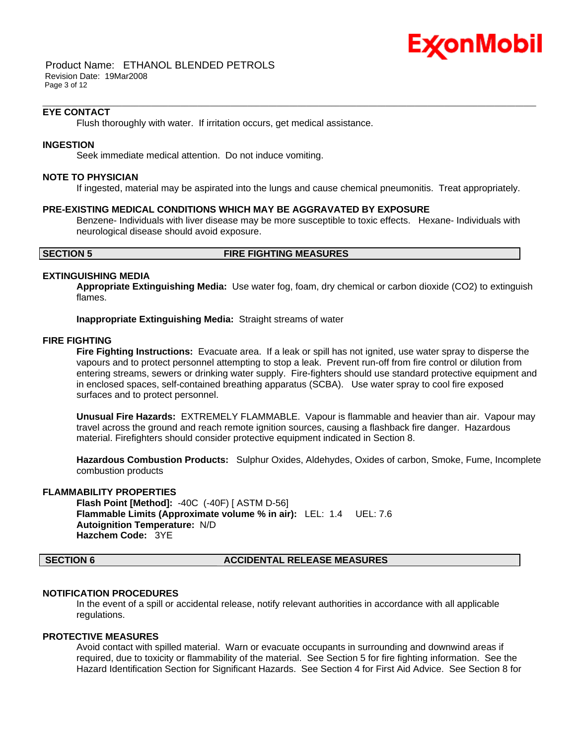

 Product Name: ETHANOL BLENDED PETROLS Revision Date: 19Mar2008 Page 3 of 12

#### **EYE CONTACT**

Flush thoroughly with water. If irritation occurs, get medical assistance.

#### **INGESTION**

Seek immediate medical attention. Do not induce vomiting.

#### **NOTE TO PHYSICIAN**

If ingested, material may be aspirated into the lungs and cause chemical pneumonitis. Treat appropriately.

\_\_\_\_\_\_\_\_\_\_\_\_\_\_\_\_\_\_\_\_\_\_\_\_\_\_\_\_\_\_\_\_\_\_\_\_\_\_\_\_\_\_\_\_\_\_\_\_\_\_\_\_\_\_\_\_\_\_\_\_\_\_\_\_\_\_\_\_\_\_\_\_\_\_\_\_\_\_\_\_\_\_\_\_\_\_\_\_\_\_\_\_\_\_\_\_\_\_\_\_\_\_\_\_\_\_\_\_\_\_\_\_\_\_\_\_\_\_

#### **PRE-EXISTING MEDICAL CONDITIONS WHICH MAY BE AGGRAVATED BY EXPOSURE**

Benzene- Individuals with liver disease may be more susceptible to toxic effects. Hexane- Individuals with neurological disease should avoid exposure.

#### **SECTION 5 FIRE FIGHTING MEASURES**

### **EXTINGUISHING MEDIA**

**Appropriate Extinguishing Media:** Use water fog, foam, dry chemical or carbon dioxide (CO2) to extinguish flames.

**Inappropriate Extinguishing Media:** Straight streams of water

#### **FIRE FIGHTING**

**Fire Fighting Instructions:** Evacuate area. If a leak or spill has not ignited, use water spray to disperse the vapours and to protect personnel attempting to stop a leak. Prevent run-off from fire control or dilution from entering streams, sewers or drinking water supply. Fire-fighters should use standard protective equipment and in enclosed spaces, self-contained breathing apparatus (SCBA). Use water spray to cool fire exposed surfaces and to protect personnel.

**Unusual Fire Hazards:** EXTREMELY FLAMMABLE. Vapour is flammable and heavier than air. Vapour may travel across the ground and reach remote ignition sources, causing a flashback fire danger. Hazardous material. Firefighters should consider protective equipment indicated in Section 8.

**Hazardous Combustion Products:** Sulphur Oxides, Aldehydes, Oxides of carbon, Smoke, Fume, Incomplete combustion products

#### **FLAMMABILITY PROPERTIES**

**Flash Point [Method]:** -40C (-40F) [ ASTM D-56] **Flammable Limits (Approximate volume % in air):** LEL: 1.4 UEL: 7.6 **Autoignition Temperature:** N/D **Hazchem Code:** 3YE

#### **SECTION 6 ACCIDENTAL RELEASE MEASURES**

#### **NOTIFICATION PROCEDURES**

In the event of a spill or accidental release, notify relevant authorities in accordance with all applicable regulations.

#### **PROTECTIVE MEASURES**

Avoid contact with spilled material. Warn or evacuate occupants in surrounding and downwind areas if required, due to toxicity or flammability of the material. See Section 5 for fire fighting information. See the Hazard Identification Section for Significant Hazards. See Section 4 for First Aid Advice. See Section 8 for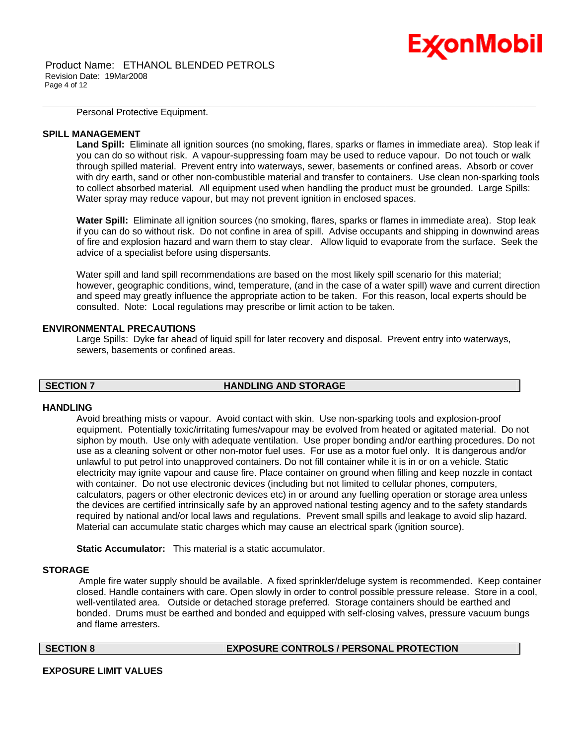Personal Protective Equipment.

#### **SPILL MANAGEMENT**

**Land Spill:** Eliminate all ignition sources (no smoking, flares, sparks or flames in immediate area). Stop leak if you can do so without risk. A vapour-suppressing foam may be used to reduce vapour. Do not touch or walk through spilled material. Prevent entry into waterways, sewer, basements or confined areas. Absorb or cover with dry earth, sand or other non-combustible material and transfer to containers. Use clean non-sparking tools to collect absorbed material. All equipment used when handling the product must be grounded. Large Spills: Water spray may reduce vapour, but may not prevent ignition in enclosed spaces.

\_\_\_\_\_\_\_\_\_\_\_\_\_\_\_\_\_\_\_\_\_\_\_\_\_\_\_\_\_\_\_\_\_\_\_\_\_\_\_\_\_\_\_\_\_\_\_\_\_\_\_\_\_\_\_\_\_\_\_\_\_\_\_\_\_\_\_\_\_\_\_\_\_\_\_\_\_\_\_\_\_\_\_\_\_\_\_\_\_\_\_\_\_\_\_\_\_\_\_\_\_\_\_\_\_\_\_\_\_\_\_\_\_\_\_\_\_\_

**Water Spill:** Eliminate all ignition sources (no smoking, flares, sparks or flames in immediate area). Stop leak if you can do so without risk. Do not confine in area of spill. Advise occupants and shipping in downwind areas of fire and explosion hazard and warn them to stay clear. Allow liquid to evaporate from the surface. Seek the advice of a specialist before using dispersants.

Water spill and land spill recommendations are based on the most likely spill scenario for this material; however, geographic conditions, wind, temperature, (and in the case of a water spill) wave and current direction and speed may greatly influence the appropriate action to be taken. For this reason, local experts should be consulted. Note: Local regulations may prescribe or limit action to be taken.

#### **ENVIRONMENTAL PRECAUTIONS**

Large Spills: Dyke far ahead of liquid spill for later recovery and disposal. Prevent entry into waterways, sewers, basements or confined areas.

#### **SECTION 7 HANDLING AND STORAGE**

#### **HANDLING**

Avoid breathing mists or vapour. Avoid contact with skin. Use non-sparking tools and explosion-proof equipment. Potentially toxic/irritating fumes/vapour may be evolved from heated or agitated material. Do not siphon by mouth. Use only with adequate ventilation. Use proper bonding and/or earthing procedures. Do not use as a cleaning solvent or other non-motor fuel uses. For use as a motor fuel only. It is dangerous and/or unlawful to put petrol into unapproved containers. Do not fill container while it is in or on a vehicle. Static electricity may ignite vapour and cause fire. Place container on ground when filling and keep nozzle in contact with container. Do not use electronic devices (including but not limited to cellular phones, computers, calculators, pagers or other electronic devices etc) in or around any fuelling operation or storage area unless the devices are certified intrinsically safe by an approved national testing agency and to the safety standards required by national and/or local laws and regulations. Prevent small spills and leakage to avoid slip hazard. Material can accumulate static charges which may cause an electrical spark (ignition source).

**Static Accumulator:** This material is a static accumulator.

### **STORAGE**

 Ample fire water supply should be available. A fixed sprinkler/deluge system is recommended. Keep container closed. Handle containers with care. Open slowly in order to control possible pressure release. Store in a cool, well-ventilated area. Outside or detached storage preferred. Storage containers should be earthed and bonded. Drums must be earthed and bonded and equipped with self-closing valves, pressure vacuum bungs and flame arresters.

#### **SECTION 8 EXPOSURE CONTROLS / PERSONAL PROTECTION**

#### **EXPOSURE LIMIT VALUES**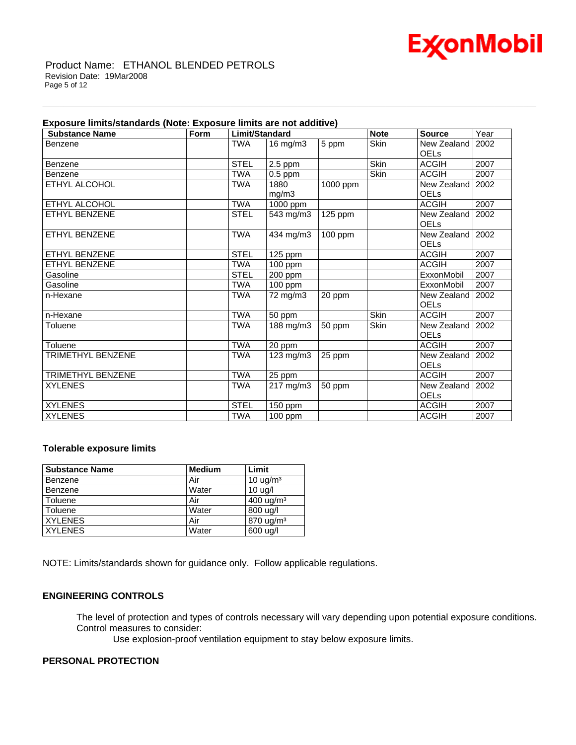

#### Product Name: ETHANOL BLENDED PETROLS Revision Date: 19Mar2008 Page 5 of 12

|  | Exposure limits/standards (Note: Exposure limits are not additive) |
|--|--------------------------------------------------------------------|
|--|--------------------------------------------------------------------|

| <b>Substance Name</b> | Form | Limit/Standard |                      | <b>Note</b> | <b>Source</b> | Year                   |      |
|-----------------------|------|----------------|----------------------|-------------|---------------|------------------------|------|
| Benzene               |      | <b>TWA</b>     | $16$ mg/m $3$        | 5 ppm       | <b>Skin</b>   | New Zealand            | 2002 |
|                       |      |                |                      |             |               | <b>OEL<sub>s</sub></b> |      |
| Benzene               |      | <b>STEL</b>    | 2.5 ppm              |             | <b>Skin</b>   | <b>ACGIH</b>           | 2007 |
| Benzene               |      | <b>TWA</b>     | $0.5$ ppm            |             | <b>Skin</b>   | <b>ACGIH</b>           | 2007 |
| ETHYL ALCOHOL         |      | <b>TWA</b>     | 1880                 | $1000$ ppm  |               | New Zealand            | 2002 |
|                       |      |                | mg/m3                |             |               | <b>OELs</b>            |      |
| ETHYL ALCOHOL         |      | <b>TWA</b>     | 1000 ppm             |             |               | <b>ACGIH</b>           | 2007 |
| <b>ETHYL BENZENE</b>  |      | <b>STEL</b>    | $543$ mg/m3          | $125$ ppm   |               | New Zealand            | 2002 |
|                       |      |                |                      |             |               | <b>OEL<sub>s</sub></b> |      |
| ETHYL BENZENE         |      | <b>TWA</b>     | 434 mg/m3            | $100$ ppm   |               | New Zealand            | 2002 |
|                       |      |                |                      |             |               | <b>OELs</b>            |      |
| <b>ETHYL BENZENE</b>  |      | <b>STEL</b>    | 125 ppm              |             |               | <b>ACGIH</b>           | 2007 |
| <b>ETHYL BENZENE</b>  |      | <b>TWA</b>     | 100 ppm              |             |               | <b>ACGIH</b>           | 2007 |
| Gasoline              |      | <b>STEL</b>    | 200 ppm              |             |               | ExxonMobil             | 2007 |
| Gasoline              |      | <b>TWA</b>     | $\overline{100}$ ppm |             |               | ExxonMobil             | 2007 |
| n-Hexane              |      | TWA            | 72 mg/m3             | 20 ppm      |               | New Zealand            | 2002 |
|                       |      |                |                      |             |               | <b>OEL<sub>s</sub></b> |      |
| n-Hexane              |      | <b>TWA</b>     | 50 ppm               |             | <b>Skin</b>   | <b>ACGIH</b>           | 2007 |
| Toluene               |      | TWA            | 188 mg/m3            | 50 ppm      | Skin          | New Zealand            | 2002 |
|                       |      |                |                      |             |               | <b>OEL<sub>s</sub></b> |      |
| Toluene               |      | <b>TWA</b>     | 20 ppm               |             |               | <b>ACGIH</b>           | 2007 |
| TRIMETHYL BENZENE     |      | <b>TWA</b>     | 123 mg/m3            | 25 ppm      |               | New Zealand            | 2002 |
|                       |      |                |                      |             |               | <b>OELs</b>            |      |
| TRIMETHYL BENZENE     |      | <b>TWA</b>     | 25 ppm               |             |               | <b>ACGIH</b>           | 2007 |
| <b>XYLENES</b>        |      | TWA            | 217 mg/m3            | 50 ppm      |               | New Zealand            | 2002 |
|                       |      |                |                      |             |               | <b>OEL<sub>s</sub></b> |      |
| <b>XYLENES</b>        |      | <b>STEL</b>    | 150 ppm              |             |               | <b>ACGIH</b>           | 2007 |
| <b>XYLENES</b>        |      | <b>TWA</b>     | 100 ppm              |             |               | <b>ACGIH</b>           | 2007 |

\_\_\_\_\_\_\_\_\_\_\_\_\_\_\_\_\_\_\_\_\_\_\_\_\_\_\_\_\_\_\_\_\_\_\_\_\_\_\_\_\_\_\_\_\_\_\_\_\_\_\_\_\_\_\_\_\_\_\_\_\_\_\_\_\_\_\_\_\_\_\_\_\_\_\_\_\_\_\_\_\_\_\_\_\_\_\_\_\_\_\_\_\_\_\_\_\_\_\_\_\_\_\_\_\_\_\_\_\_\_\_\_\_\_\_\_\_\_

### **Tolerable exposure limits**

| <b>Substance Name</b> | <b>Medium</b> | Limit                     |
|-----------------------|---------------|---------------------------|
| Benzene               | Air           | 10 $\mu$ g/m <sup>3</sup> |
| Benzene               | Water         | $10 \text{ uq/l}$         |
| Toluene               | Air           | $400 \text{ uq/m}^3$      |
| Toluene               | Water         | 800 ug/l                  |
| <b>XYLENES</b>        | Air           | 870 ug/m <sup>3</sup>     |
| <b>XYLENES</b>        | Water         | 600 ug/l                  |

NOTE: Limits/standards shown for guidance only. Follow applicable regulations.

### **ENGINEERING CONTROLS**

The level of protection and types of controls necessary will vary depending upon potential exposure conditions. Control measures to consider:

Use explosion-proof ventilation equipment to stay below exposure limits.

#### **PERSONAL PROTECTION**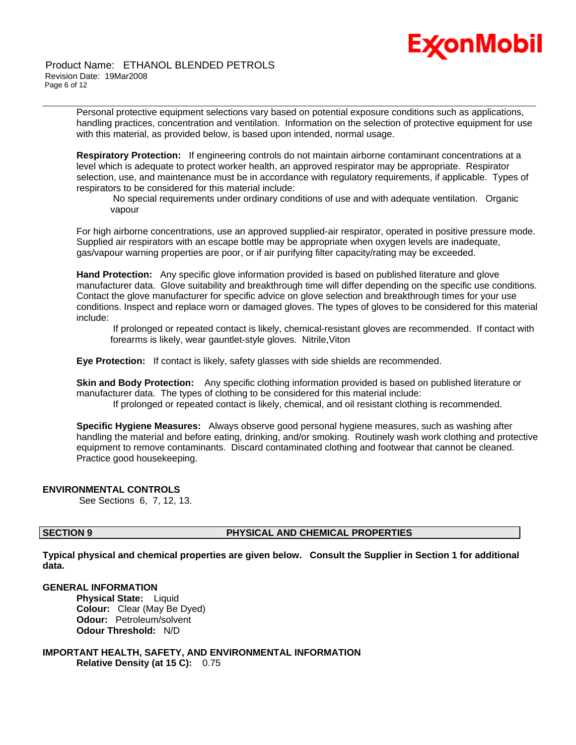

Personal protective equipment selections vary based on potential exposure conditions such as applications, handling practices, concentration and ventilation. Information on the selection of protective equipment for use with this material, as provided below, is based upon intended, normal usage.

\_\_\_\_\_\_\_\_\_\_\_\_\_\_\_\_\_\_\_\_\_\_\_\_\_\_\_\_\_\_\_\_\_\_\_\_\_\_\_\_\_\_\_\_\_\_\_\_\_\_\_\_\_\_\_\_\_\_\_\_\_\_\_\_\_\_\_\_\_\_\_\_\_\_\_\_\_\_\_\_\_\_\_\_\_\_\_\_\_\_\_\_\_\_\_\_\_\_\_\_\_\_\_\_\_\_\_\_\_\_\_\_\_\_\_\_\_\_

**Respiratory Protection:** If engineering controls do not maintain airborne contaminant concentrations at a level which is adequate to protect worker health, an approved respirator may be appropriate. Respirator selection, use, and maintenance must be in accordance with regulatory requirements, if applicable. Types of respirators to be considered for this material include:

 No special requirements under ordinary conditions of use and with adequate ventilation. Organic vapour

For high airborne concentrations, use an approved supplied-air respirator, operated in positive pressure mode. Supplied air respirators with an escape bottle may be appropriate when oxygen levels are inadequate, gas/vapour warning properties are poor, or if air purifying filter capacity/rating may be exceeded.

**Hand Protection:** Any specific glove information provided is based on published literature and glove manufacturer data. Glove suitability and breakthrough time will differ depending on the specific use conditions. Contact the glove manufacturer for specific advice on glove selection and breakthrough times for your use conditions. Inspect and replace worn or damaged gloves. The types of gloves to be considered for this material include:

 If prolonged or repeated contact is likely, chemical-resistant gloves are recommended. If contact with forearms is likely, wear gauntlet-style gloves. Nitrile,Viton

**Eye Protection:** If contact is likely, safety glasses with side shields are recommended.

**Skin and Body Protection:** Any specific clothing information provided is based on published literature or manufacturer data. The types of clothing to be considered for this material include:

If prolonged or repeated contact is likely, chemical, and oil resistant clothing is recommended.

**Specific Hygiene Measures:** Always observe good personal hygiene measures, such as washing after handling the material and before eating, drinking, and/or smoking. Routinely wash work clothing and protective equipment to remove contaminants. Discard contaminated clothing and footwear that cannot be cleaned. Practice good housekeeping.

#### **ENVIRONMENTAL CONTROLS**

See Sections 6, 7, 12, 13.

### **SECTION 9 PHYSICAL AND CHEMICAL PROPERTIES**

**Typical physical and chemical properties are given below. Consult the Supplier in Section 1 for additional data.**

#### **GENERAL INFORMATION**

**Physical State:** Liquid **Colour:** Clear (May Be Dyed) **Odour:** Petroleum/solvent **Odour Threshold:** N/D

**IMPORTANT HEALTH, SAFETY, AND ENVIRONMENTAL INFORMATION Relative Density (at 15 C):** 0.75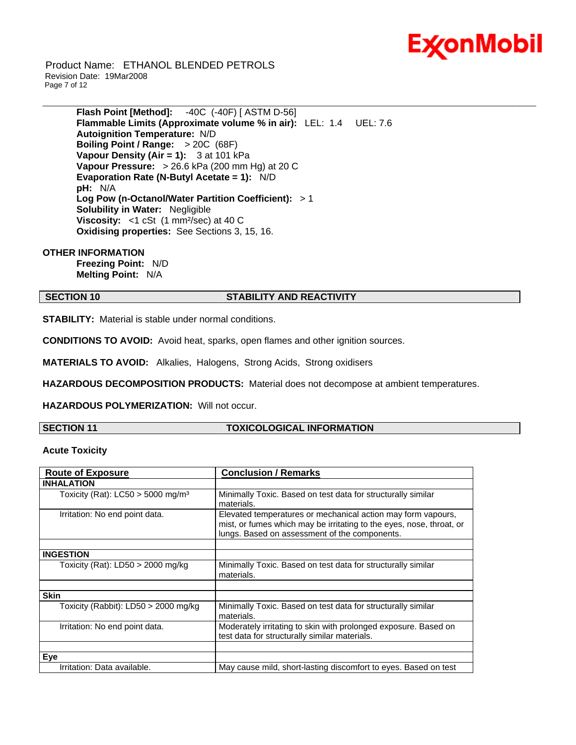

 Product Name: ETHANOL BLENDED PETROLS Revision Date: 19Mar2008 Page 7 of 12

> **Flash Point [Method]:** -40C (-40F) [ ASTM D-56] **Flammable Limits (Approximate volume % in air):** LEL: 1.4 UEL: 7.6 **Autoignition Temperature:** N/D **Boiling Point / Range:** > 20C (68F) **Vapour Density (Air = 1):** 3 at 101 kPa **Vapour Pressure:** > 26.6 kPa (200 mm Hg) at 20 C **Evaporation Rate (N-Butyl Acetate = 1):** N/D **pH:** N/A **Log Pow (n-Octanol/Water Partition Coefficient):** > 1 **Solubility in Water:** Negligible **Viscosity:** <1 cSt (1 mm<sup>2</sup>/sec) at 40 C **Oxidising properties:** See Sections 3, 15, 16.

#### **OTHER INFORMATION**

**Freezing Point:** N/D **Melting Point:** N/A

#### **SECTION 10 STABILITY AND REACTIVITY**

\_\_\_\_\_\_\_\_\_\_\_\_\_\_\_\_\_\_\_\_\_\_\_\_\_\_\_\_\_\_\_\_\_\_\_\_\_\_\_\_\_\_\_\_\_\_\_\_\_\_\_\_\_\_\_\_\_\_\_\_\_\_\_\_\_\_\_\_\_\_\_\_\_\_\_\_\_\_\_\_\_\_\_\_\_\_\_\_\_\_\_\_\_\_\_\_\_\_\_\_\_\_\_\_\_\_\_\_\_\_\_\_\_\_\_\_\_\_

**STABILITY:** Material is stable under normal conditions.

**CONDITIONS TO AVOID:** Avoid heat, sparks, open flames and other ignition sources.

**MATERIALS TO AVOID:** Alkalies, Halogens, Strong Acids, Strong oxidisers

**HAZARDOUS DECOMPOSITION PRODUCTS:** Material does not decompose at ambient temperatures.

**HAZARDOUS POLYMERIZATION:** Will not occur.

### **SECTION 11 TOXICOLOGICAL INFORMATION**

#### **Acute Toxicity**

| <b>Route of Exposure</b>                        | <b>Conclusion / Remarks</b>                                                                                                                                                           |
|-------------------------------------------------|---------------------------------------------------------------------------------------------------------------------------------------------------------------------------------------|
| <b>INHALATION</b>                               |                                                                                                                                                                                       |
| Toxicity (Rat): $LC50 > 5000$ mg/m <sup>3</sup> | Minimally Toxic. Based on test data for structurally similar<br>materials.                                                                                                            |
| Irritation: No end point data.                  | Elevated temperatures or mechanical action may form vapours,<br>mist, or fumes which may be irritating to the eyes, nose, throat, or<br>lungs. Based on assessment of the components. |
|                                                 |                                                                                                                                                                                       |
| <b>INGESTION</b>                                |                                                                                                                                                                                       |
| Toxicity (Rat): LD50 > 2000 mg/kg               | Minimally Toxic. Based on test data for structurally similar<br>materials.                                                                                                            |
|                                                 |                                                                                                                                                                                       |
| <b>Skin</b>                                     |                                                                                                                                                                                       |
| Toxicity (Rabbit): LD50 > 2000 mg/kg            | Minimally Toxic. Based on test data for structurally similar<br>materials.                                                                                                            |
| Irritation: No end point data.                  | Moderately irritating to skin with prolonged exposure. Based on<br>test data for structurally similar materials.                                                                      |
|                                                 |                                                                                                                                                                                       |
| Eye                                             |                                                                                                                                                                                       |
| Irritation: Data available.                     | May cause mild, short-lasting discomfort to eyes. Based on test                                                                                                                       |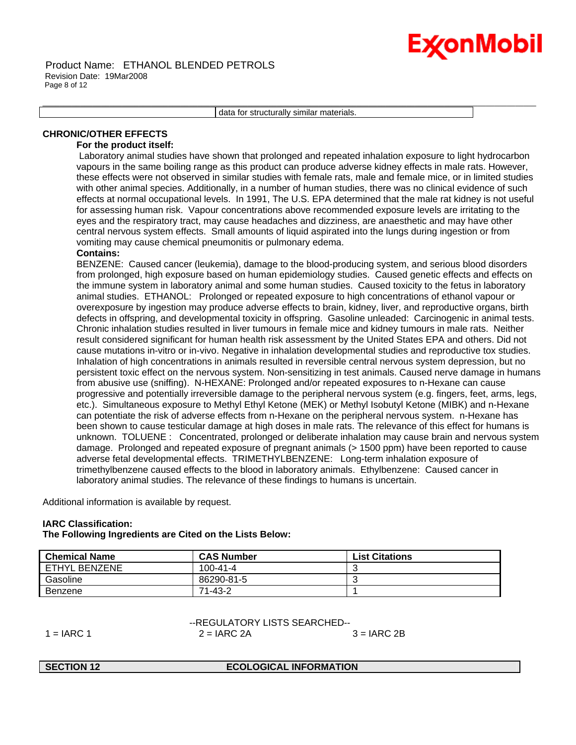# Ex⁄onMobil

\_\_\_\_\_\_\_\_\_\_\_\_\_\_\_\_\_\_\_\_\_\_\_\_\_\_\_\_\_\_\_\_\_\_\_\_\_\_\_\_\_\_\_\_\_\_\_\_\_\_\_\_\_\_\_\_\_\_\_\_\_\_\_\_\_\_\_\_\_\_\_\_\_\_\_\_\_\_\_\_\_\_\_\_\_\_\_\_\_\_\_\_\_\_\_\_\_\_\_\_\_\_\_\_\_\_\_\_\_\_\_\_\_\_\_\_\_\_ data for structurally similar materials.

### **CHRONIC/OTHER EFFECTS**

### **For the product itself:**

 Laboratory animal studies have shown that prolonged and repeated inhalation exposure to light hydrocarbon vapours in the same boiling range as this product can produce adverse kidney effects in male rats. However, these effects were not observed in similar studies with female rats, male and female mice, or in limited studies with other animal species. Additionally, in a number of human studies, there was no clinical evidence of such effects at normal occupational levels. In 1991, The U.S. EPA determined that the male rat kidney is not useful for assessing human risk. Vapour concentrations above recommended exposure levels are irritating to the eyes and the respiratory tract, may cause headaches and dizziness, are anaesthetic and may have other central nervous system effects. Small amounts of liquid aspirated into the lungs during ingestion or from vomiting may cause chemical pneumonitis or pulmonary edema.

### **Contains:**

BENZENE: Caused cancer (leukemia), damage to the blood-producing system, and serious blood disorders from prolonged, high exposure based on human epidemiology studies. Caused genetic effects and effects on the immune system in laboratory animal and some human studies. Caused toxicity to the fetus in laboratory animal studies. ETHANOL: Prolonged or repeated exposure to high concentrations of ethanol vapour or overexposure by ingestion may produce adverse effects to brain, kidney, liver, and reproductive organs, birth defects in offspring, and developmental toxicity in offspring. Gasoline unleaded: Carcinogenic in animal tests. Chronic inhalation studies resulted in liver tumours in female mice and kidney tumours in male rats. Neither result considered significant for human health risk assessment by the United States EPA and others. Did not cause mutations in-vitro or in-vivo. Negative in inhalation developmental studies and reproductive tox studies. Inhalation of high concentrations in animals resulted in reversible central nervous system depression, but no persistent toxic effect on the nervous system. Non-sensitizing in test animals. Caused nerve damage in humans from abusive use (sniffing). N-HEXANE: Prolonged and/or repeated exposures to n-Hexane can cause progressive and potentially irreversible damage to the peripheral nervous system (e.g. fingers, feet, arms, legs, etc.). Simultaneous exposure to Methyl Ethyl Ketone (MEK) or Methyl Isobutyl Ketone (MIBK) and n-Hexane can potentiate the risk of adverse effects from n-Hexane on the peripheral nervous system. n-Hexane has been shown to cause testicular damage at high doses in male rats. The relevance of this effect for humans is unknown. TOLUENE : Concentrated, prolonged or deliberate inhalation may cause brain and nervous system damage. Prolonged and repeated exposure of pregnant animals (> 1500 ppm) have been reported to cause adverse fetal developmental effects. TRIMETHYLBENZENE: Long-term inhalation exposure of trimethylbenzene caused effects to the blood in laboratory animals. Ethylbenzene: Caused cancer in laboratory animal studies. The relevance of these findings to humans is uncertain.

Additional information is available by request.

### **IARC Classification:**

### **The Following Ingredients are Cited on the Lists Below:**

| <b>Chemical Name</b> | <b>CAS Number</b> | List Citations |
|----------------------|-------------------|----------------|
| ETHYL BENZENE        | 100-41-4          |                |
| Gasoline             | 86290-81-5        |                |
| Benzene              | 71-43-2           |                |

--REGULATORY LISTS SEARCHED--  $1 = IARC 1$   $2 = IARC 2A$   $3 = IARC 2B$ 

#### **SECTION 12 ECOLOGICAL INFORMATION**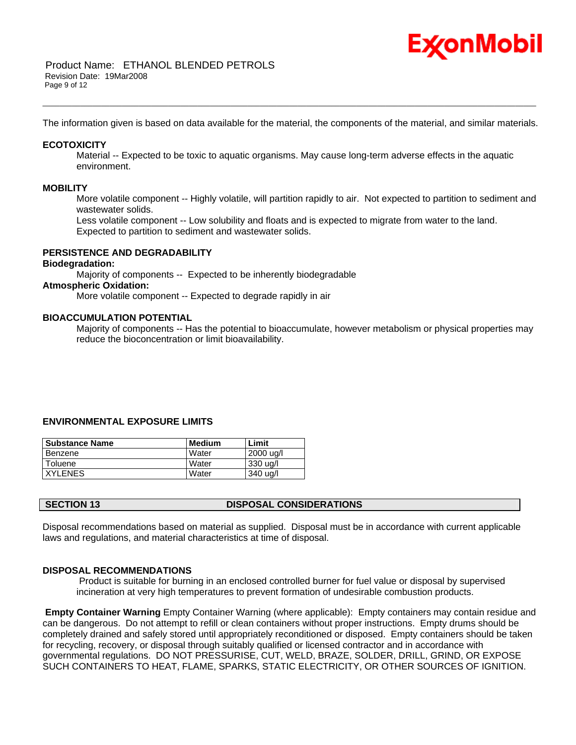

The information given is based on data available for the material, the components of the material, and similar materials.

\_\_\_\_\_\_\_\_\_\_\_\_\_\_\_\_\_\_\_\_\_\_\_\_\_\_\_\_\_\_\_\_\_\_\_\_\_\_\_\_\_\_\_\_\_\_\_\_\_\_\_\_\_\_\_\_\_\_\_\_\_\_\_\_\_\_\_\_\_\_\_\_\_\_\_\_\_\_\_\_\_\_\_\_\_\_\_\_\_\_\_\_\_\_\_\_\_\_\_\_\_\_\_\_\_\_\_\_\_\_\_\_\_\_\_\_\_\_

#### **ECOTOXICITY**

 Material -- Expected to be toxic to aquatic organisms. May cause long-term adverse effects in the aquatic environment.

#### **MOBILITY**

 More volatile component -- Highly volatile, will partition rapidly to air. Not expected to partition to sediment and wastewater solids.

 Less volatile component -- Low solubility and floats and is expected to migrate from water to the land. Expected to partition to sediment and wastewater solids.

### **PERSISTENCE AND DEGRADABILITY**

#### **Biodegradation:**

Majority of components -- Expected to be inherently biodegradable

### **Atmospheric Oxidation:**

More volatile component -- Expected to degrade rapidly in air

#### **BIOACCUMULATION POTENTIAL**

 Majority of components -- Has the potential to bioaccumulate, however metabolism or physical properties may reduce the bioconcentration or limit bioavailability.

#### **ENVIRONMENTAL EXPOSURE LIMITS**

| l Substance Name | Medium | Limit     |
|------------------|--------|-----------|
| Benzene          | Water  | 2000 ug/l |
| Toluene          | Water  | 330 ug/l  |
| <b>XYLENES</b>   | Water  | 340 ug/l  |

Disposal recommendations based on material as supplied. Disposal must be in accordance with current applicable laws and regulations, and material characteristics at time of disposal.

#### **DISPOSAL RECOMMENDATIONS**

 Product is suitable for burning in an enclosed controlled burner for fuel value or disposal by supervised incineration at very high temperatures to prevent formation of undesirable combustion products.

**Empty Container Warning** Empty Container Warning (where applicable): Empty containers may contain residue and can be dangerous. Do not attempt to refill or clean containers without proper instructions. Empty drums should be completely drained and safely stored until appropriately reconditioned or disposed. Empty containers should be taken for recycling, recovery, or disposal through suitably qualified or licensed contractor and in accordance with governmental regulations. DO NOT PRESSURISE, CUT, WELD, BRAZE, SOLDER, DRILL, GRIND, OR EXPOSE SUCH CONTAINERS TO HEAT, FLAME, SPARKS, STATIC ELECTRICITY, OR OTHER SOURCES OF IGNITION.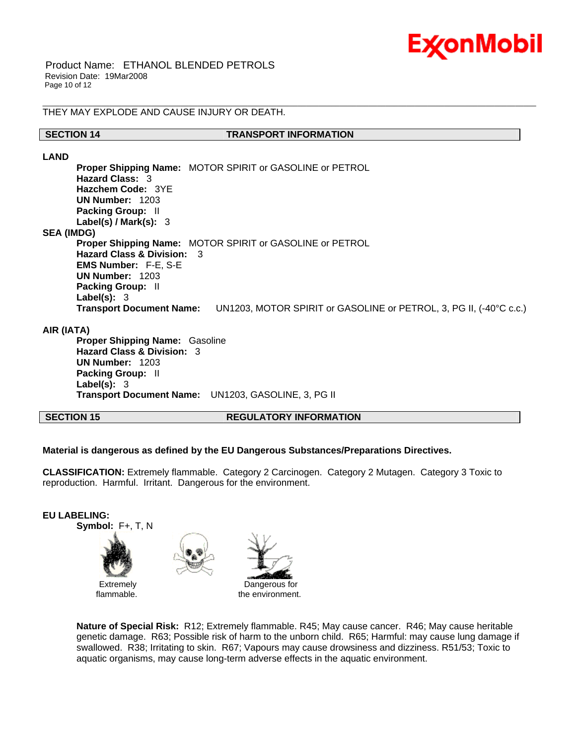

THEY MAY EXPLODE AND CAUSE INJURY OR DEATH.

#### **SECTION 14 TRANSPORT INFORMATION**

\_\_\_\_\_\_\_\_\_\_\_\_\_\_\_\_\_\_\_\_\_\_\_\_\_\_\_\_\_\_\_\_\_\_\_\_\_\_\_\_\_\_\_\_\_\_\_\_\_\_\_\_\_\_\_\_\_\_\_\_\_\_\_\_\_\_\_\_\_\_\_\_\_\_\_\_\_\_\_\_\_\_\_\_\_\_\_\_\_\_\_\_\_\_\_\_\_\_\_\_\_\_\_\_\_\_\_\_\_\_\_\_\_\_\_\_\_\_

**LAND**

**Proper Shipping Name:** MOTOR SPIRIT or GASOLINE or PETROL **Hazard Class:** 3 **Hazchem Code:** 3YE **UN Number:** 1203 **Packing Group:** II **Label(s) / Mark(s):** 3 **SEA (IMDG) Proper Shipping Name:** MOTOR SPIRIT or GASOLINE or PETROL **Hazard Class & Division:** 3 **EMS Number:** F-E, S-E **UN Number:** 1203 **Packing Group:** II **Label(s):** 3 **Transport Document Name:** UN1203, MOTOR SPIRIT or GASOLINE or PETROL, 3, PG II, (-40°C c.c.)

#### **AIR (IATA)**

**Proper Shipping Name:** Gasoline **Hazard Class & Division:** 3 **UN Number:** 1203 **Packing Group:** II **Label(s):** 3 **Transport Document Name:** UN1203, GASOLINE, 3, PG II

**SECTION 15 REGULATORY INFORMATION**

#### **Material is dangerous as defined by the EU Dangerous Substances/Preparations Directives.**

**CLASSIFICATION:** Extremely flammable. Category 2 Carcinogen. Category 2 Mutagen. Category 3 Toxic to reproduction. Harmful. Irritant. Dangerous for the environment.



**Nature of Special Risk:** R12; Extremely flammable. R45; May cause cancer. R46; May cause heritable genetic damage. R63; Possible risk of harm to the unborn child. R65; Harmful: may cause lung damage if swallowed. R38; Irritating to skin. R67; Vapours may cause drowsiness and dizziness. R51/53; Toxic to aquatic organisms, may cause long-term adverse effects in the aquatic environment.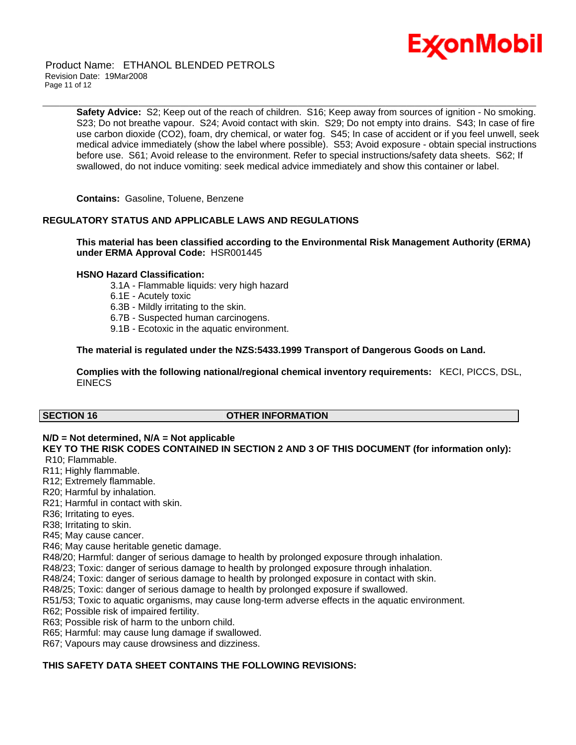

 Product Name: ETHANOL BLENDED PETROLS Revision Date: 19Mar2008 Page 11 of 12

> **Safety Advice:** S2; Keep out of the reach of children. S16; Keep away from sources of ignition - No smoking. S23; Do not breathe vapour. S24; Avoid contact with skin. S29; Do not empty into drains. S43; In case of fire use carbon dioxide (CO2), foam, dry chemical, or water fog. S45; In case of accident or if you feel unwell, seek medical advice immediately (show the label where possible). S53; Avoid exposure - obtain special instructions before use. S61; Avoid release to the environment. Refer to special instructions/safety data sheets. S62; If swallowed, do not induce vomiting: seek medical advice immediately and show this container or label.

\_\_\_\_\_\_\_\_\_\_\_\_\_\_\_\_\_\_\_\_\_\_\_\_\_\_\_\_\_\_\_\_\_\_\_\_\_\_\_\_\_\_\_\_\_\_\_\_\_\_\_\_\_\_\_\_\_\_\_\_\_\_\_\_\_\_\_\_\_\_\_\_\_\_\_\_\_\_\_\_\_\_\_\_\_\_\_\_\_\_\_\_\_\_\_\_\_\_\_\_\_\_\_\_\_\_\_\_\_\_\_\_\_\_\_\_\_\_

**Contains:** Gasoline, Toluene, Benzene

#### **REGULATORY STATUS AND APPLICABLE LAWS AND REGULATIONS**

**This material has been classified according to the Environmental Risk Management Authority (ERMA) under ERMA Approval Code:** HSR001445

#### **HSNO Hazard Classification:**

- 3.1A Flammable liquids: very high hazard
- 6.1E Acutely toxic
- 6.3B Mildly irritating to the skin.
- 6.7B Suspected human carcinogens.
- 9.1B Ecotoxic in the aquatic environment.

#### **The material is regulated under the NZS:5433.1999 Transport of Dangerous Goods on Land.**

**Complies with the following national/regional chemical inventory requirements:** KECI, PICCS, DSL, EINECS

#### **SECTION 16 OTHER INFORMATION**

### **N/D = Not determined, N/A = Not applicable**

#### **KEY TO THE RISK CODES CONTAINED IN SECTION 2 AND 3 OF THIS DOCUMENT (for information only):** R10; Flammable.

- R11; Highly flammable.
- R12; Extremely flammable.
- R20; Harmful by inhalation.
- R21; Harmful in contact with skin.

R36; Irritating to eyes.

R38; Irritating to skin.

R45; May cause cancer.

R46; May cause heritable genetic damage.

R48/20; Harmful: danger of serious damage to health by prolonged exposure through inhalation.

R48/23; Toxic: danger of serious damage to health by prolonged exposure through inhalation.

R48/24; Toxic: danger of serious damage to health by prolonged exposure in contact with skin.

R48/25; Toxic: danger of serious damage to health by prolonged exposure if swallowed.

R51/53; Toxic to aquatic organisms, may cause long-term adverse effects in the aquatic environment.

R62; Possible risk of impaired fertility.

R63; Possible risk of harm to the unborn child.

R65; Harmful: may cause lung damage if swallowed.

R67; Vapours may cause drowsiness and dizziness.

#### **THIS SAFETY DATA SHEET CONTAINS THE FOLLOWING REVISIONS:**